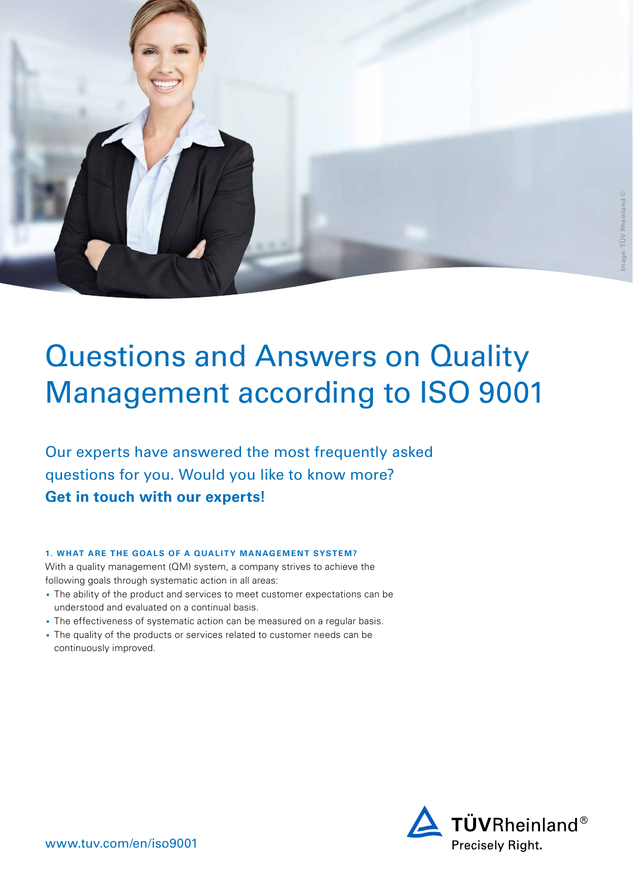

# Questions and Answers on Quality Management according to ISO 9001

Our experts have answered the most frequently asked questions for you. Would you like to know more? **[Get in touch with our experts!](https://www.tuv.com/world/en/forms/contact-default-form.jsp?contact_id=11776&service_id=414&service_name=ISO+9001+Certification&sap_campaign_id=CW17_W2L_GENERAL&tuv_mail_template_id=21386&customer_mail_template_id=11136&business_stream=Sn.a.)**

# **1. WHAT ARE THE GOALS OF A QUALITY MANAGEMENT SYSTEM?**

With a quality management (QM) system, a company strives to achieve the following goals through systematic action in all areas:

- · The ability of the product and services to meet customer expectations can be understood and evaluated on a continual basis.
- · The effectiveness of systematic action can be measured on a regular basis.
- · The quality of the products or services related to customer needs can be continuously improved.

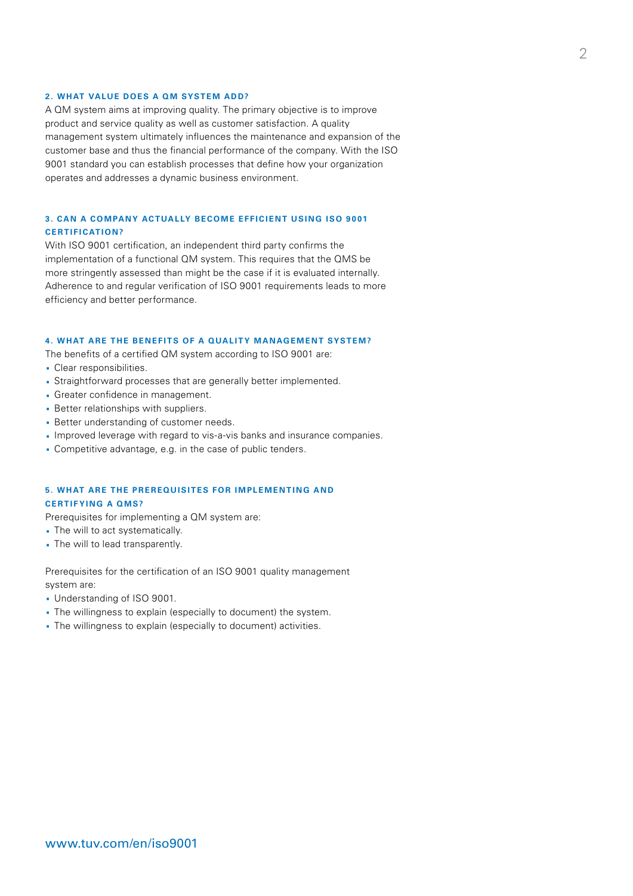#### **2. WHAT VALUE DOES A QM SYSTEM ADD?**

A QM system aims at improving quality. The primary objective is to improve product and service quality as well as customer satisfaction. A quality management system ultimately influences the maintenance and expansion of the customer base and thus the financial performance of the company. With the ISO 9001 standard you can establish processes that define how your organization operates and addresses a dynamic business environment.

# **3. CAN A COMPANY ACTUALLY BECOME EFFICIENT USING ISO 9001 CERTIFICATION?**

With ISO 9001 certification, an independent third party confirms the implementation of a functional QM system. This requires that the QMS be more stringently assessed than might be the case if it is evaluated internally. Adherence to and regular verification of ISO 9001 requirements leads to more efficiency and better performance.

#### **4. WHAT ARE THE BENEFITS OF A QUALITY MANAGEMENT SYSTEM?**

The benefits of a certified QM system according to ISO 9001 are:

- · Clear responsibilities.
- · Straightforward processes that are generally better implemented.
- · Greater confidence in management.
- · Better relationships with suppliers.
- · Better understanding of customer needs.
- · Improved leverage with regard to vis-a-vis banks and insurance companies.
- · Competitive advantage, e.g. in the case of public tenders.

## **5. WHAT ARE THE PREREQUISITES FOR IMPLEMENTING AND CERTIFYING A QMS?**

Prerequisites for implementing a QM system are:

- · The will to act systematically.
- · The will to lead transparently.

Prerequisites for the certification of an ISO 9001 quality management system are:

- · Understanding of ISO 9001.
- · The willingness to explain (especially to document) the system.
- · The willingness to explain (especially to document) activities.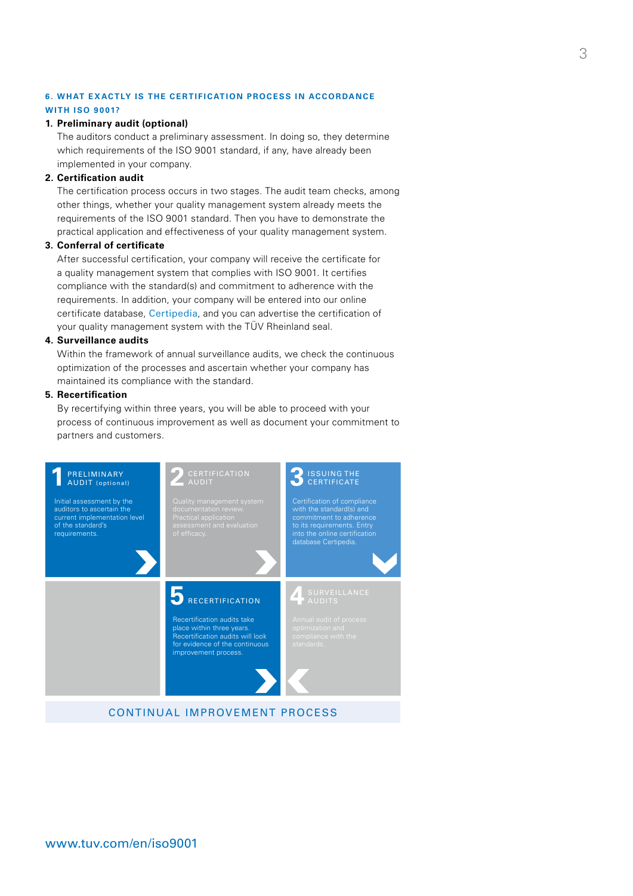## **6. WHAT EXACTLY IS THE CERTIFICATION PROCESS IN ACCORDANCE**

## **WITH ISO 9001?**

#### **1. Preliminary audit (optional)**

The auditors conduct a preliminary assessment. In doing so, they determine which requirements of the ISO 9001 standard, if any, have already been implemented in your company.

### **2. Certification audit**

The certification process occurs in two stages. The audit team checks, among other things, whether your quality management system already meets the requirements of the ISO 9001 standard. Then you have to demonstrate the practical application and effectiveness of your quality management system.

### **3. Conferral of certificate**

After successful certification, your company will receive the certificate for a quality management system that complies with ISO 9001. It certifies compliance with the standard(s) and commitment to adherence with the requirements. In addition, your company will be entered into our online certificate database, [Certipedia](https://www.certipedia.com/?locale=en), and you can advertise the certification of your quality management system with the TÜV Rheinland seal.

#### **4. Surveillance audits**

Within the framework of annual surveillance audits, we check the continuous optimization of the processes and ascertain whether your company has maintained its compliance with the standard.

#### **5. Recertification**

By recertifying within three years, you will be able to proceed with your process of continuous improvement as well as document your commitment to partners and customers.